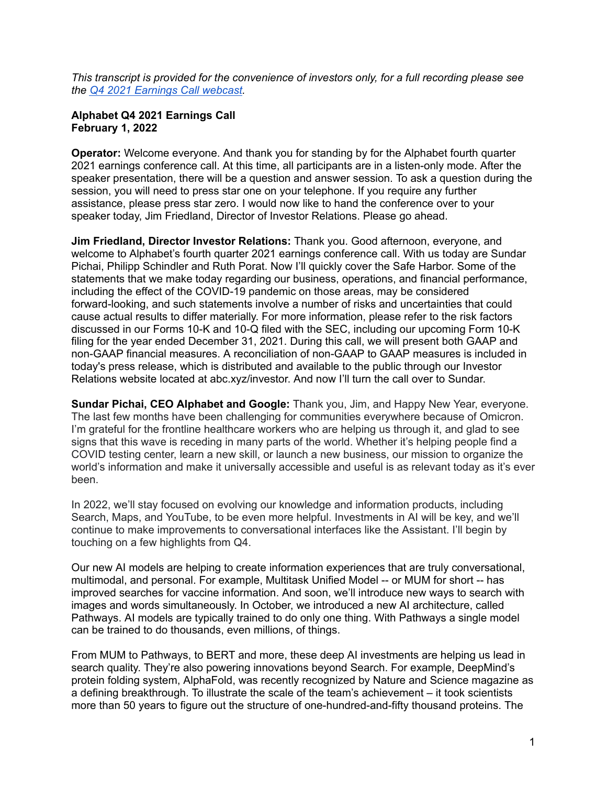*This transcript is provided for the convenience of investors only, for a full recording please see the Q4 2021 [Earnings](https://www.youtube.com/watch?v=ItLfgdDN5oE) Call webcast.*

### **Alphabet Q4 2021 Earnings Call February 1, 2022**

**Operator:** Welcome everyone. And thank you for standing by for the Alphabet fourth quarter 2021 earnings conference call. At this time, all participants are in a listen-only mode. After the speaker presentation, there will be a question and answer session. To ask a question during the session, you will need to press star one on your telephone. If you require any further assistance, please press star zero. I would now like to hand the conference over to your speaker today, Jim Friedland, Director of Investor Relations. Please go ahead.

**Jim Friedland, Director Investor Relations:** Thank you. Good afternoon, everyone, and welcome to Alphabet's fourth quarter 2021 earnings conference call. With us today are Sundar Pichai, Philipp Schindler and Ruth Porat. Now I'll quickly cover the Safe Harbor. Some of the statements that we make today regarding our business, operations, and financial performance, including the effect of the COVID-19 pandemic on those areas, may be considered forward-looking, and such statements involve a number of risks and uncertainties that could cause actual results to differ materially. For more information, please refer to the risk factors discussed in our Forms 10-K and 10-Q filed with the SEC, including our upcoming Form 10-K filing for the year ended December 31, 2021. During this call, we will present both GAAP and non-GAAP financial measures. A reconciliation of non-GAAP to GAAP measures is included in today's press release, which is distributed and available to the public through our Investor Relations website located at abc.xyz/investor. And now I'll turn the call over to Sundar.

**Sundar Pichai, CEO Alphabet and Google:** Thank you, Jim, and Happy New Year, everyone. The last few months have been challenging for communities everywhere because of Omicron. I'm grateful for the frontline healthcare workers who are helping us through it, and glad to see signs that this wave is receding in many parts of the world. Whether it's helping people find a COVID testing center, learn a new skill, or launch a new business, our mission to organize the world's information and make it universally accessible and useful is as relevant today as it's ever been.

In 2022, we'll stay focused on evolving our knowledge and information products, including Search, Maps, and YouTube, to be even more helpful. Investments in AI will be key, and we'll continue to make improvements to conversational interfaces like the Assistant. I'll begin by touching on a few highlights from Q4.

Our new AI models are helping to create information experiences that are truly conversational, multimodal, and personal. For example, Multitask Unified Model -- or MUM for short -- has improved searches for vaccine information. And soon, we'll introduce new ways to search with images and words simultaneously. In October, we introduced a new AI architecture, called Pathways. AI models are typically trained to do only one thing. With Pathways a single model can be trained to do thousands, even millions, of things.

From MUM to Pathways, to BERT and more, these deep AI investments are helping us lead in search quality. They're also powering innovations beyond Search. For example, DeepMind's protein folding system, AlphaFold, was recently recognized by Nature and Science magazine as a defining breakthrough. To illustrate the scale of the team's achievement – it took scientists more than 50 years to figure out the structure of one-hundred-and-fifty thousand proteins. The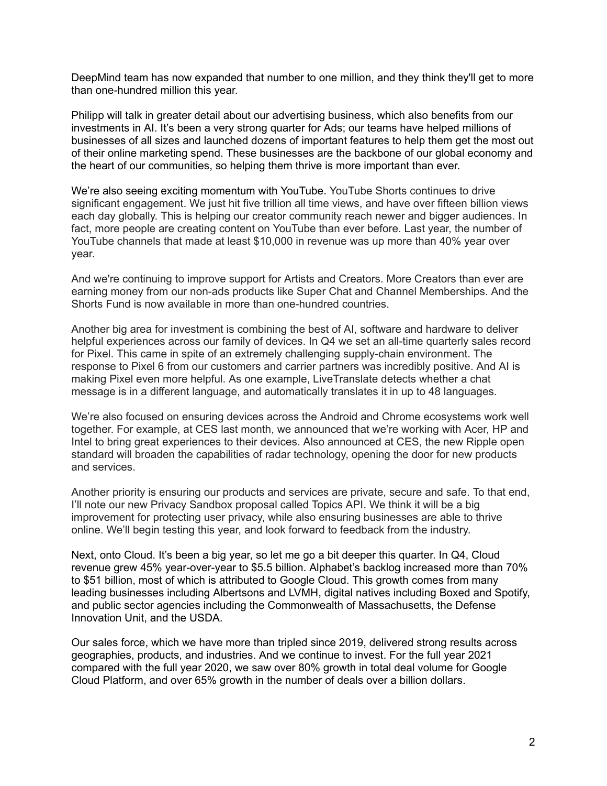DeepMind team has now expanded that number to one million, and they think they'll get to more than one*-*hundred million this year.

Philipp will talk in greater detail about our advertising business, which also benefits from our investments in AI. It's been a very strong quarter for Ads; our teams have helped millions of businesses of all sizes and launched dozens of important features to help them get the most out of their online marketing spend. These businesses are the backbone of our global economy and the heart of our communities, so helping them thrive is more important than ever.

We're also seeing exciting momentum with YouTube. YouTube Shorts continues to drive significant engagement. We just hit five trillion all time views, and have over fifteen billion views each day globally. This is helping our creator community reach newer and bigger audiences. In fact, more people are creating content on YouTube than ever before. Last year, the number of YouTube channels that made at least \$10,000 in revenue was up more than 40% year over year.

And we're continuing to improve support for Artists and Creators. More Creators than ever are earning money from our non-ads products like Super Chat and Channel Memberships. And the Shorts Fund is now available in more than one-hundred countries.

Another big area for investment is combining the best of AI, software and hardware to deliver helpful experiences across our family of devices. In Q4 we set an all-time quarterly sales record for Pixel. This came in spite of an extremely challenging supply-chain environment. The response to Pixel 6 from our customers and carrier partners was incredibly positive. And AI is making Pixel even more helpful. As one example, LiveTranslate detects whether a chat message is in a different language, and automatically translates it in up to 48 languages.

We're also focused on ensuring devices across the Android and Chrome ecosystems work well together. For example, at CES last month, we announced that we're working with Acer, HP and Intel to bring great experiences to their devices. Also announced at CES, the new Ripple open standard will broaden the capabilities of radar technology, opening the door for new products and services.

Another priority is ensuring our products and services are private, secure and safe. To that end, I'll note our new Privacy Sandbox proposal called Topics API. We think it will be a big improvement for protecting user privacy, while also ensuring businesses are able to thrive online. We'll begin testing this year, and look forward to feedback from the industry.

Next, onto Cloud. It's been a big year, so let me go a bit deeper this quarter. In Q4, Cloud revenue grew 45% year-over-year to \$5.5 billion. Alphabet's backlog increased more than 70% to \$51 billion, most of which is attributed to Google Cloud. This growth comes from many leading businesses including Albertsons and LVMH, digital natives including Boxed and Spotify, and public sector agencies including the Commonwealth of Massachusetts, the Defense Innovation Unit, and the USDA.

Our sales force, which we have more than tripled since 2019, delivered strong results across geographies, products, and industries. And we continue to invest. For the full year 2021 compared with the full year 2020, we saw over 80% growth in total deal volume for Google Cloud Platform, and over 65% growth in the number of deals over a billion dollars.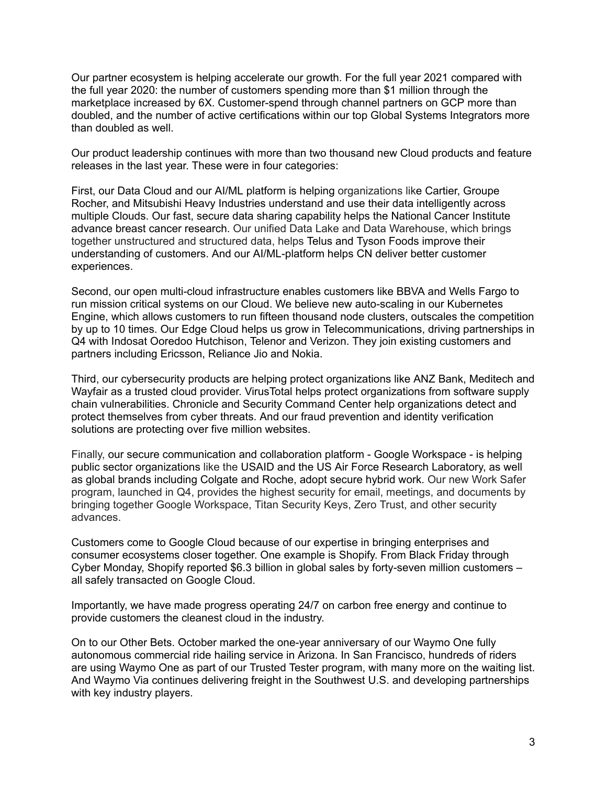Our partner ecosystem is helping accelerate our growth. For the full year 2021 compared with the full year 2020: the number of customers spending more than \$1 million through the marketplace increased by 6X. Customer-spend through channel partners on GCP more than doubled, and the number of active certifications within our top Global Systems Integrators more than doubled as well.

Our product leadership continues with more than two thousand new Cloud products and feature releases in the last year. These were in four categories:

First, our Data Cloud and our AI/ML platform is helping organizations like Cartier, Groupe Rocher, and Mitsubishi Heavy Industries understand and use their data intelligently across multiple Clouds. Our fast, secure data sharing capability helps the National Cancer Institute advance breast cancer research. Our unified Data Lake and Data Warehouse, which brings together unstructured and structured data, helps Telus and Tyson Foods improve their understanding of customers. And our AI/ML-platform helps CN deliver better customer experiences.

Second, our open multi-cloud infrastructure enables customers like BBVA and Wells Fargo to run mission critical systems on our Cloud. We believe new auto-scaling in our Kubernetes Engine, which allows customers to run fifteen thousand node clusters, outscales the competition by up to 10 times. Our Edge Cloud helps us grow in Telecommunications, driving partnerships in Q4 with Indosat Ooredoo Hutchison, Telenor and Verizon. They join existing customers and partners including Ericsson, Reliance Jio and Nokia.

Third, our cybersecurity products are helping protect organizations like ANZ Bank, Meditech and Wayfair as a trusted cloud provider. VirusTotal helps protect organizations from software supply chain vulnerabilities. Chronicle and Security Command Center help organizations detect and protect themselves from cyber threats. And our fraud prevention and identity verification solutions are protecting over five million websites.

Finally, our secure communication and collaboration platform - Google Workspace - is helping public sector organizations like the USAID and the US Air Force Research Laboratory, as well as global brands including Colgate and Roche, adopt secure hybrid work. Our new Work Safer program, launched in Q4, provides the highest security for email, meetings, and documents by bringing together Google Workspace, Titan Security Keys, Zero Trust, and other security advances.

Customers come to Google Cloud because of our expertise in bringing enterprises and consumer ecosystems closer together. One example is Shopify. From Black Friday through Cyber Monday, Shopify reported \$6.3 billion in global sales by forty-seven million customers – all safely transacted on Google Cloud.

Importantly, we have made progress operating 24/7 on carbon free energy and continue to provide customers the cleanest cloud in the industry.

On to our Other Bets. October marked the one-year anniversary of our Waymo One fully autonomous commercial ride hailing service in Arizona. In San Francisco, hundreds of riders are using Waymo One as part of our Trusted Tester program, with many more on the waiting list. And Waymo Via continues delivering freight in the Southwest U.S. and developing partnerships with key industry players.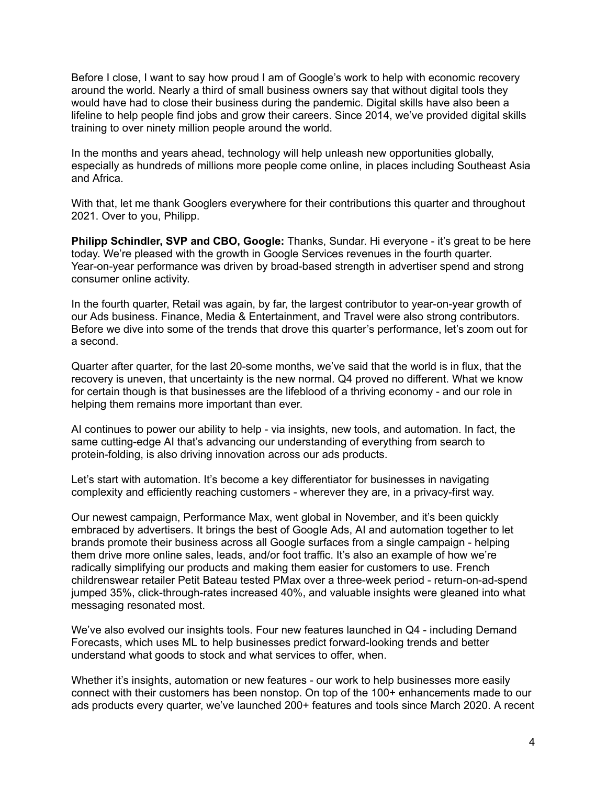Before I close, I want to say how proud I am of Google's work to help with economic recovery around the world. Nearly a third of small business owners say that without digital tools they would have had to close their business during the pandemic. Digital skills have also been a lifeline to help people find jobs and grow their careers. Since 2014, we've provided digital skills training to over ninety million people around the world.

In the months and years ahead, technology will help unleash new opportunities globally, especially as hundreds of millions more people come online, in places including Southeast Asia and Africa.

With that, let me thank Googlers everywhere for their contributions this quarter and throughout 2021. Over to you, Philipp.

**Philipp Schindler, SVP and CBO, Google:** Thanks, Sundar. Hi everyone - it's great to be here today. We're pleased with the growth in Google Services revenues in the fourth quarter. Year-on-year performance was driven by broad-based strength in advertiser spend and strong consumer online activity.

In the fourth quarter, Retail was again, by far, the largest contributor to year-on-year growth of our Ads business. Finance, Media & Entertainment, and Travel were also strong contributors. Before we dive into some of the trends that drove this quarter's performance, let's zoom out for a second.

Quarter after quarter, for the last 20-some months, we've said that the world is in flux, that the recovery is uneven, that uncertainty is the new normal. Q4 proved no different. What we know for certain though is that businesses are the lifeblood of a thriving economy - and our role in helping them remains more important than ever.

AI continues to power our ability to help - via insights, new tools, and automation. In fact, the same cutting-edge AI that's advancing our understanding of everything from search to protein-folding, is also driving innovation across our ads products.

Let's start with automation. It's become a key differentiator for businesses in navigating complexity and efficiently reaching customers - wherever they are, in a privacy-first way.

Our newest campaign, Performance Max, went global in November, and it's been quickly embraced by advertisers. It brings the best of Google Ads, AI and automation together to let brands promote their business across all Google surfaces from a single campaign - helping them drive more online sales, leads, and/or foot traffic. It's also an example of how we're radically simplifying our products and making them easier for customers to use. French childrenswear retailer Petit Bateau tested PMax over a three-week period - return-on-ad-spend jumped 35%, click-through-rates increased 40%, and valuable insights were gleaned into what messaging resonated most.

We've also evolved our insights tools. Four new features launched in Q4 - including Demand Forecasts, which uses ML to help businesses predict forward-looking trends and better understand what goods to stock and what services to offer, when.

Whether it's insights, automation or new features - our work to help businesses more easily connect with their customers has been nonstop. On top of the 100+ enhancements made to our ads products every quarter, we've launched 200+ features and tools since March 2020. A recent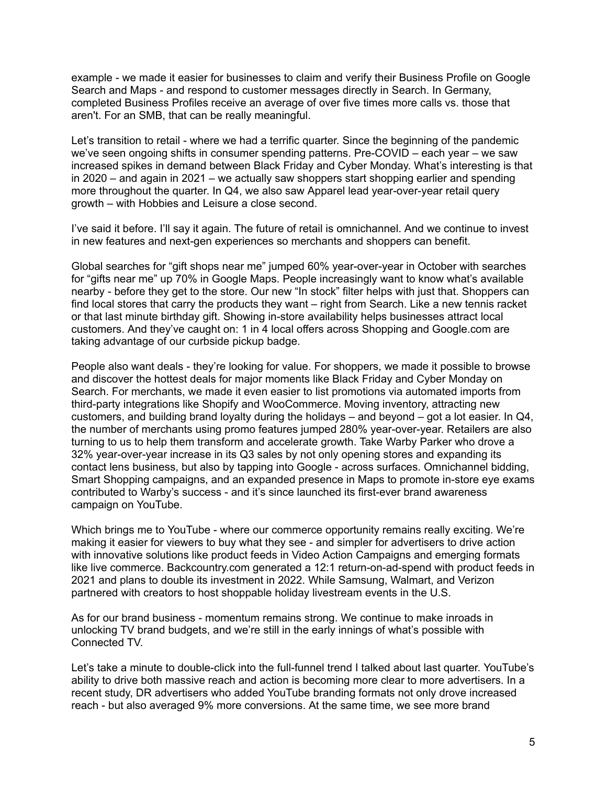example - we made it easier for businesses to claim and verify their Business Profile on Google Search and Maps - and respond to customer messages directly in Search. In Germany, completed Business Profiles receive an average of over five times more calls vs. those that aren't. For an SMB, that can be really meaningful.

Let's transition to retail - where we had a terrific quarter. Since the beginning of the pandemic we've seen ongoing shifts in consumer spending patterns. Pre-COVID – each year – we saw increased spikes in demand between Black Friday and Cyber Monday. What's interesting is that in 2020 – and again in 2021 – we actually saw shoppers start shopping earlier and spending more throughout the quarter. In Q4, we also saw Apparel lead year-over-year retail query growth – with Hobbies and Leisure a close second.

I've said it before. I'll say it again. The future of retail is omnichannel. And we continue to invest in new features and next-gen experiences so merchants and shoppers can benefit.

Global searches for "gift shops near me" jumped 60% year-over-year in October with searches for "gifts near me" up 70% in Google Maps. People increasingly want to know what's available nearby - before they get to the store. Our new "In stock" filter helps with just that. Shoppers can find local stores that carry the products they want – right from Search. Like a new tennis racket or that last minute birthday gift. Showing in-store availability helps businesses attract local customers. And they've caught on: 1 in 4 local offers across Shopping and Google.com are taking advantage of our curbside pickup badge.

People also want deals - they're looking for value. For shoppers, we made it possible to browse and discover the hottest deals for major moments like Black Friday and Cyber Monday on Search. For merchants, we made it even easier to list promotions via automated imports from third-party integrations like Shopify and WooCommerce. Moving inventory, attracting new customers, and building brand loyalty during the holidays – and beyond – got a lot easier. In Q4, the number of merchants using promo features jumped 280% year-over-year. Retailers are also turning to us to help them transform and accelerate growth. Take Warby Parker who drove a 32% year-over-year increase in its Q3 sales by not only opening stores and expanding its contact lens business, but also by tapping into Google - across surfaces. Omnichannel bidding, Smart Shopping campaigns, and an expanded presence in Maps to promote in-store eye exams contributed to Warby's success - and it's since launched its first-ever brand awareness campaign on YouTube.

Which brings me to YouTube - where our commerce opportunity remains really exciting. We're making it easier for viewers to buy what they see - and simpler for advertisers to drive action with innovative solutions like product feeds in Video Action Campaigns and emerging formats like live commerce. Backcountry.com generated a 12:1 return-on-ad-spend with product feeds in 2021 and plans to double its investment in 2022. While Samsung, Walmart, and Verizon partnered with creators to host shoppable holiday livestream events in the U.S.

As for our brand business - momentum remains strong. We continue to make inroads in unlocking TV brand budgets, and we're still in the early innings of what's possible with Connected TV.

Let's take a minute to double-click into the full-funnel trend I talked about last quarter. YouTube's ability to drive both massive reach and action is becoming more clear to more advertisers. In a recent study, DR advertisers who added YouTube branding formats not only drove increased reach - but also averaged 9% more conversions. At the same time, we see more brand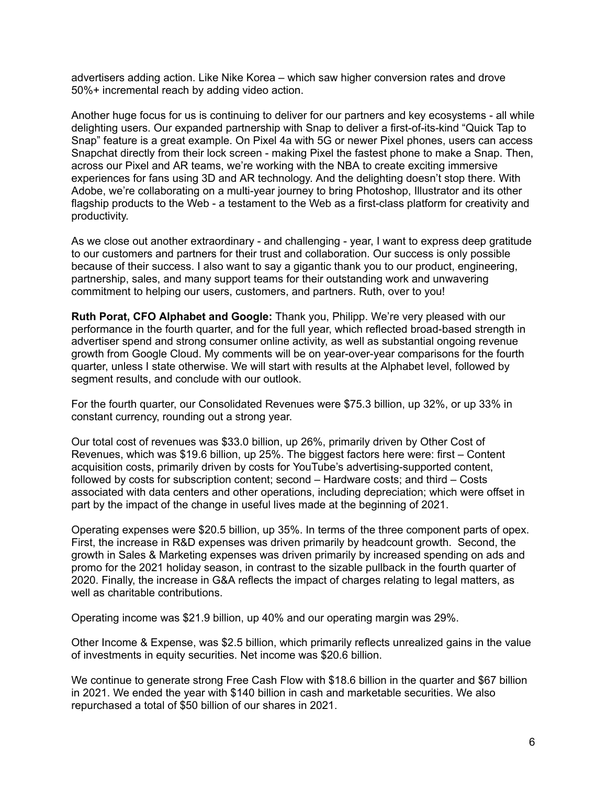advertisers adding action. Like Nike Korea – which saw higher conversion rates and drove 50%+ incremental reach by adding video action.

Another huge focus for us is continuing to deliver for our partners and key ecosystems - all while delighting users. Our expanded partnership with Snap to deliver a first-of-its-kind "Quick Tap to Snap" feature is a great example. On Pixel 4a with 5G or newer Pixel phones, users can access Snapchat directly from their lock screen - making Pixel the fastest phone to make a Snap. Then, across our Pixel and AR teams, we're working with the NBA to create exciting immersive experiences for fans using 3D and AR technology. And the delighting doesn't stop there. With Adobe, we're collaborating on a multi-year journey to bring Photoshop, Illustrator and its other flagship products to the Web - a testament to the Web as a first-class platform for creativity and productivity.

As we close out another extraordinary - and challenging - year, I want to express deep gratitude to our customers and partners for their trust and collaboration. Our success is only possible because of their success. I also want to say a gigantic thank you to our product, engineering, partnership, sales, and many support teams for their outstanding work and unwavering commitment to helping our users, customers, and partners. Ruth, over to you!

**Ruth Porat, CFO Alphabet and Google:** Thank you, Philipp. We're very pleased with our performance in the fourth quarter, and for the full year, which reflected broad-based strength in advertiser spend and strong consumer online activity, as well as substantial ongoing revenue growth from Google Cloud. My comments will be on year-over-year comparisons for the fourth quarter, unless I state otherwise. We will start with results at the Alphabet level, followed by segment results, and conclude with our outlook.

For the fourth quarter, our Consolidated Revenues were \$75.3 billion, up 32%, or up 33% in constant currency, rounding out a strong year.

Our total cost of revenues was \$33.0 billion, up 26%, primarily driven by Other Cost of Revenues, which was \$19.6 billion, up 25%. The biggest factors here were: first – Content acquisition costs, primarily driven by costs for YouTube's advertising-supported content, followed by costs for subscription content; second – Hardware costs; and third – Costs associated with data centers and other operations, including depreciation; which were offset in part by the impact of the change in useful lives made at the beginning of 2021.

Operating expenses were \$20.5 billion, up 35%. In terms of the three component parts of opex. First, the increase in R&D expenses was driven primarily by headcount growth. Second, the growth in Sales & Marketing expenses was driven primarily by increased spending on ads and promo for the 2021 holiday season, in contrast to the sizable pullback in the fourth quarter of 2020. Finally, the increase in G&A reflects the impact of charges relating to legal matters, as well as charitable contributions.

Operating income was \$21.9 billion, up 40% and our operating margin was 29%.

Other Income & Expense, was \$2.5 billion, which primarily reflects unrealized gains in the value of investments in equity securities. Net income was \$20.6 billion.

We continue to generate strong Free Cash Flow with \$18.6 billion in the quarter and \$67 billion in 2021. We ended the year with \$140 billion in cash and marketable securities. We also repurchased a total of \$50 billion of our shares in 2021.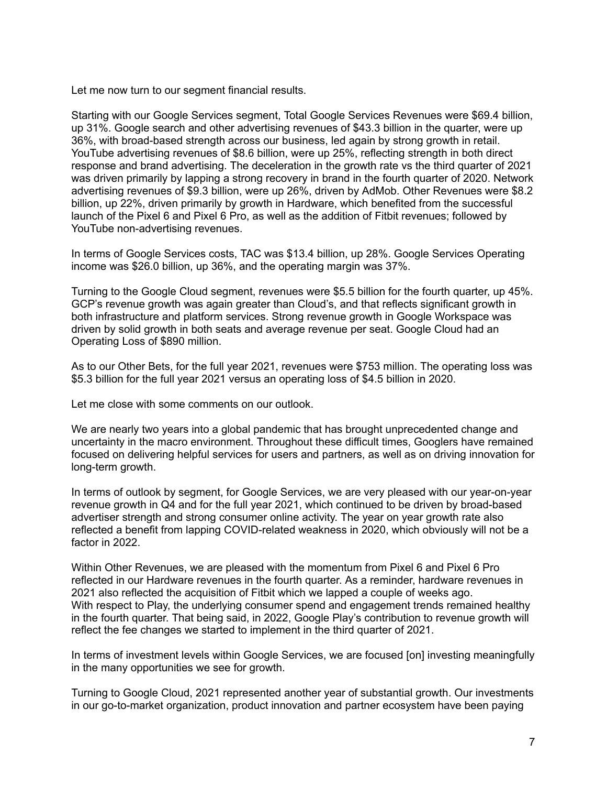Let me now turn to our segment financial results.

Starting with our Google Services segment, Total Google Services Revenues were \$69.4 billion, up 31%. Google search and other advertising revenues of \$43.3 billion in the quarter, were up 36%, with broad-based strength across our business, led again by strong growth in retail. YouTube advertising revenues of \$8.6 billion, were up 25%, reflecting strength in both direct response and brand advertising. The deceleration in the growth rate vs the third quarter of 2021 was driven primarily by lapping a strong recovery in brand in the fourth quarter of 2020. Network advertising revenues of \$9.3 billion, were up 26%, driven by AdMob. Other Revenues were \$8.2 billion, up 22%, driven primarily by growth in Hardware, which benefited from the successful launch of the Pixel 6 and Pixel 6 Pro, as well as the addition of Fitbit revenues; followed by YouTube non-advertising revenues.

In terms of Google Services costs, TAC was \$13.4 billion, up 28%. Google Services Operating income was \$26.0 billion, up 36%, and the operating margin was 37%.

Turning to the Google Cloud segment, revenues were \$5.5 billion for the fourth quarter, up 45%. GCP's revenue growth was again greater than Cloud's, and that reflects significant growth in both infrastructure and platform services. Strong revenue growth in Google Workspace was driven by solid growth in both seats and average revenue per seat. Google Cloud had an Operating Loss of \$890 million.

As to our Other Bets, for the full year 2021, revenues were \$753 million. The operating loss was \$5.3 billion for the full year 2021 versus an operating loss of \$4.5 billion in 2020.

Let me close with some comments on our outlook.

We are nearly two years into a global pandemic that has brought unprecedented change and uncertainty in the macro environment. Throughout these difficult times, Googlers have remained focused on delivering helpful services for users and partners, as well as on driving innovation for long-term growth.

In terms of outlook by segment, for Google Services, we are very pleased with our year-on-year revenue growth in Q4 and for the full year 2021, which continued to be driven by broad-based advertiser strength and strong consumer online activity. The year on year growth rate also reflected a benefit from lapping COVID-related weakness in 2020, which obviously will not be a factor in 2022.

Within Other Revenues, we are pleased with the momentum from Pixel 6 and Pixel 6 Pro reflected in our Hardware revenues in the fourth quarter. As a reminder, hardware revenues in 2021 also reflected the acquisition of Fitbit which we lapped a couple of weeks ago. With respect to Play, the underlying consumer spend and engagement trends remained healthy in the fourth quarter. That being said, in 2022, Google Play's contribution to revenue growth will reflect the fee changes we started to implement in the third quarter of 2021.

In terms of investment levels within Google Services, we are focused [on] investing meaningfully in the many opportunities we see for growth.

Turning to Google Cloud, 2021 represented another year of substantial growth. Our investments in our go-to-market organization, product innovation and partner ecosystem have been paying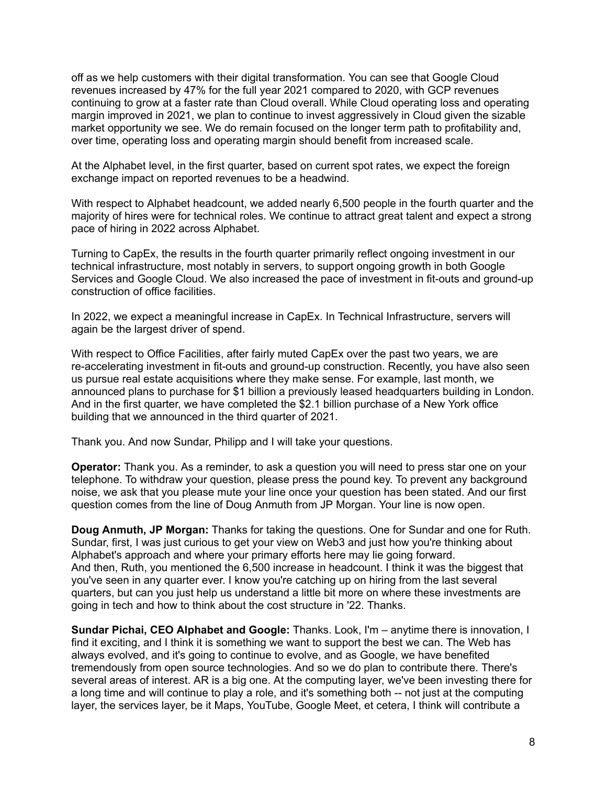off as we help customers with their digital transformation. You can see that Google Cloud revenues increased by 47% for the full year 2021 compared to 2020, with GCP revenues continuing to grow at a faster rate than Cloud overall. While Cloud operating loss and operating margin improved in 2021, we plan to continue to invest aggressively in Cloud given the sizable market opportunity we see. We do remain focused on the longer term path to profitability and, over time, operating loss and operating margin should benefit from increased scale.

At the Alphabet level, in the first quarter, based on current spot rates, we expect the foreign exchange impact on reported revenues to be a headwind.

With respect to Alphabet headcount, we added nearly 6,500 people in the fourth quarter and the majority of hires were for technical roles. We continue to attract great talent and expect a strong pace of hiring in 2022 across Alphabet.

Turning to CapEx, the results in the fourth quarter primarily reflect ongoing investment in our technical infrastructure, most notably in servers, to support ongoing growth in both Google Services and Google Cloud. We also increased the pace of investment in fit-outs and ground-up construction of office facilities.

In 2022, we expect a meaningful increase in CapEx. In Technical Infrastructure, servers will again be the largest driver of spend.

With respect to Office Facilities, after fairly muted CapEx over the past two years, we are re-accelerating investment in fit-outs and ground-up construction. Recently, you have also seen us pursue real estate acquisitions where they make sense. For example, last month, we announced plans to purchase for \$1 billion a previously leased headquarters building in London. And in the first quarter, we have completed the \$2.1 billion purchase of a New York office building that we announced in the third quarter of 2021.

Thank you. And now Sundar, Philipp and I will take your questions.

**Operator:** Thank you. As a reminder, to ask a question you will need to press star one on your telephone. To withdraw your question, please press the pound key. To prevent any background noise, we ask that you please mute your line once your question has been stated. And our first question comes from the line of Doug Anmuth from JP Morgan. Your line is now open.

**Doug Anmuth, JP Morgan:** Thanks for taking the questions. One for Sundar and one for Ruth. Sundar, first, I was just curious to get your view on Web3 and just how you're thinking about Alphabet's approach and where your primary efforts here may lie going forward. And then, Ruth, you mentioned the 6,500 increase in headcount. I think it was the biggest that you've seen in any quarter ever. I know you're catching up on hiring from the last several quarters, but can you just help us understand a little bit more on where these investments are going in tech and how to think about the cost structure in '22. Thanks.

**Sundar Pichai, CEO Alphabet and Google:** Thanks. Look, I'm – anytime there is innovation, I find it exciting, and I think it is something we want to support the best we can. The Web has always evolved, and it's going to continue to evolve, and as Google, we have benefited tremendously from open source technologies. And so we do plan to contribute there. There's several areas of interest. AR is a big one. At the computing layer, we've been investing there for a long time and will continue to play a role, and it's something both -- not just at the computing layer, the services layer, be it Maps, YouTube, Google Meet, et cetera, I think will contribute a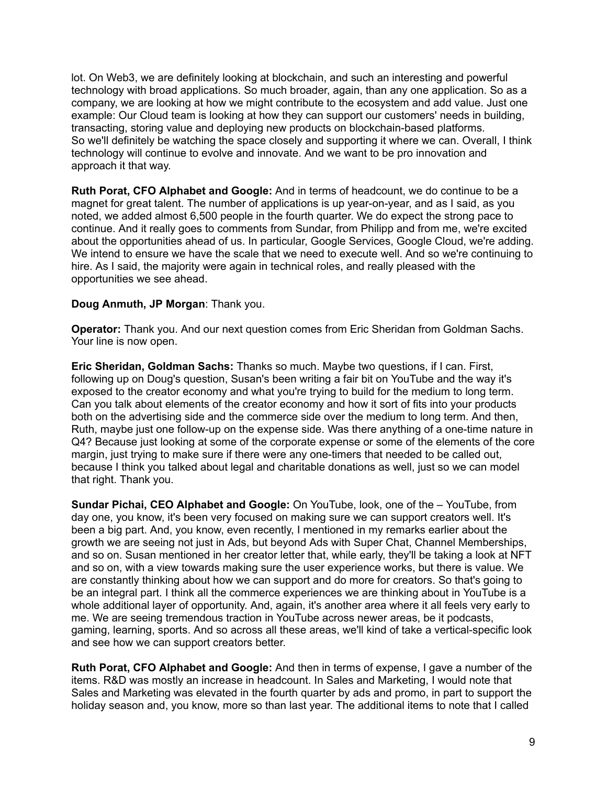lot. On Web3, we are definitely looking at blockchain, and such an interesting and powerful technology with broad applications. So much broader, again, than any one application. So as a company, we are looking at how we might contribute to the ecosystem and add value. Just one example: Our Cloud team is looking at how they can support our customers' needs in building, transacting, storing value and deploying new products on blockchain-based platforms. So we'll definitely be watching the space closely and supporting it where we can. Overall, I think technology will continue to evolve and innovate. And we want to be pro innovation and approach it that way.

**Ruth Porat, CFO Alphabet and Google:** And in terms of headcount, we do continue to be a magnet for great talent. The number of applications is up year-on-year, and as I said, as you noted, we added almost 6,500 people in the fourth quarter. We do expect the strong pace to continue. And it really goes to comments from Sundar, from Philipp and from me, we're excited about the opportunities ahead of us. In particular, Google Services, Google Cloud, we're adding. We intend to ensure we have the scale that we need to execute well. And so we're continuing to hire. As I said, the majority were again in technical roles, and really pleased with the opportunities we see ahead.

# **Doug Anmuth, JP Morgan**: Thank you.

**Operator:** Thank you. And our next question comes from Eric Sheridan from Goldman Sachs. Your line is now open.

**Eric Sheridan, Goldman Sachs:** Thanks so much. Maybe two questions, if I can. First, following up on Doug's question, Susan's been writing a fair bit on YouTube and the way it's exposed to the creator economy and what you're trying to build for the medium to long term. Can you talk about elements of the creator economy and how it sort of fits into your products both on the advertising side and the commerce side over the medium to long term. And then, Ruth, maybe just one follow-up on the expense side. Was there anything of a one-time nature in Q4? Because just looking at some of the corporate expense or some of the elements of the core margin, just trying to make sure if there were any one-timers that needed to be called out, because I think you talked about legal and charitable donations as well, just so we can model that right. Thank you.

**Sundar Pichai, CEO Alphabet and Google:** On YouTube, look, one of the – YouTube, from day one, you know, it's been very focused on making sure we can support creators well. It's been a big part. And, you know, even recently, I mentioned in my remarks earlier about the growth we are seeing not just in Ads, but beyond Ads with Super Chat, Channel Memberships, and so on. Susan mentioned in her creator letter that, while early, they'll be taking a look at NFT and so on, with a view towards making sure the user experience works, but there is value. We are constantly thinking about how we can support and do more for creators. So that's going to be an integral part. I think all the commerce experiences we are thinking about in YouTube is a whole additional layer of opportunity. And, again, it's another area where it all feels very early to me. We are seeing tremendous traction in YouTube across newer areas, be it podcasts, gaming, learning, sports. And so across all these areas, we'll kind of take a vertical-specific look and see how we can support creators better.

**Ruth Porat, CFO Alphabet and Google:** And then in terms of expense, I gave a number of the items. R&D was mostly an increase in headcount. In Sales and Marketing, I would note that Sales and Marketing was elevated in the fourth quarter by ads and promo, in part to support the holiday season and, you know, more so than last year. The additional items to note that I called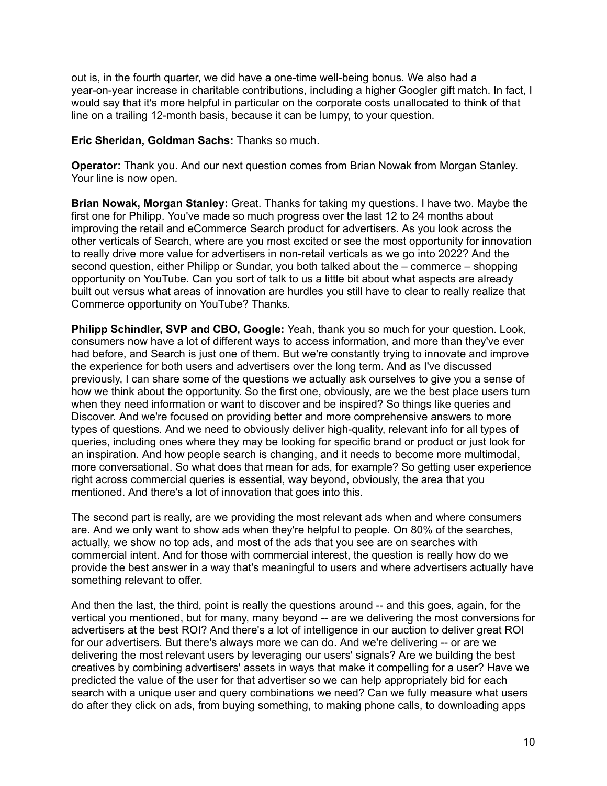out is, in the fourth quarter, we did have a one-time well-being bonus. We also had a year-on-year increase in charitable contributions, including a higher Googler gift match. In fact, I would say that it's more helpful in particular on the corporate costs unallocated to think of that line on a trailing 12-month basis, because it can be lumpy, to your question.

**Eric Sheridan, Goldman Sachs:** Thanks so much.

**Operator:** Thank you. And our next question comes from Brian Nowak from Morgan Stanley. Your line is now open.

**Brian Nowak, Morgan Stanley:** Great. Thanks for taking my questions. I have two. Maybe the first one for Philipp. You've made so much progress over the last 12 to 24 months about improving the retail and eCommerce Search product for advertisers. As you look across the other verticals of Search, where are you most excited or see the most opportunity for innovation to really drive more value for advertisers in non-retail verticals as we go into 2022? And the second question, either Philipp or Sundar, you both talked about the – commerce – shopping opportunity on YouTube. Can you sort of talk to us a little bit about what aspects are already built out versus what areas of innovation are hurdles you still have to clear to really realize that Commerce opportunity on YouTube? Thanks.

**Philipp Schindler, SVP and CBO, Google:** Yeah, thank you so much for your question. Look, consumers now have a lot of different ways to access information, and more than they've ever had before, and Search is just one of them. But we're constantly trying to innovate and improve the experience for both users and advertisers over the long term. And as I've discussed previously, I can share some of the questions we actually ask ourselves to give you a sense of how we think about the opportunity. So the first one, obviously, are we the best place users turn when they need information or want to discover and be inspired? So things like queries and Discover. And we're focused on providing better and more comprehensive answers to more types of questions. And we need to obviously deliver high-quality, relevant info for all types of queries, including ones where they may be looking for specific brand or product or just look for an inspiration. And how people search is changing, and it needs to become more multimodal, more conversational. So what does that mean for ads, for example? So getting user experience right across commercial queries is essential, way beyond, obviously, the area that you mentioned. And there's a lot of innovation that goes into this.

The second part is really, are we providing the most relevant ads when and where consumers are. And we only want to show ads when they're helpful to people. On 80% of the searches, actually, we show no top ads, and most of the ads that you see are on searches with commercial intent. And for those with commercial interest, the question is really how do we provide the best answer in a way that's meaningful to users and where advertisers actually have something relevant to offer.

And then the last, the third, point is really the questions around -- and this goes, again, for the vertical you mentioned, but for many, many beyond -- are we delivering the most conversions for advertisers at the best ROI? And there's a lot of intelligence in our auction to deliver great ROI for our advertisers. But there's always more we can do. And we're delivering -- or are we delivering the most relevant users by leveraging our users' signals? Are we building the best creatives by combining advertisers' assets in ways that make it compelling for a user? Have we predicted the value of the user for that advertiser so we can help appropriately bid for each search with a unique user and query combinations we need? Can we fully measure what users do after they click on ads, from buying something, to making phone calls, to downloading apps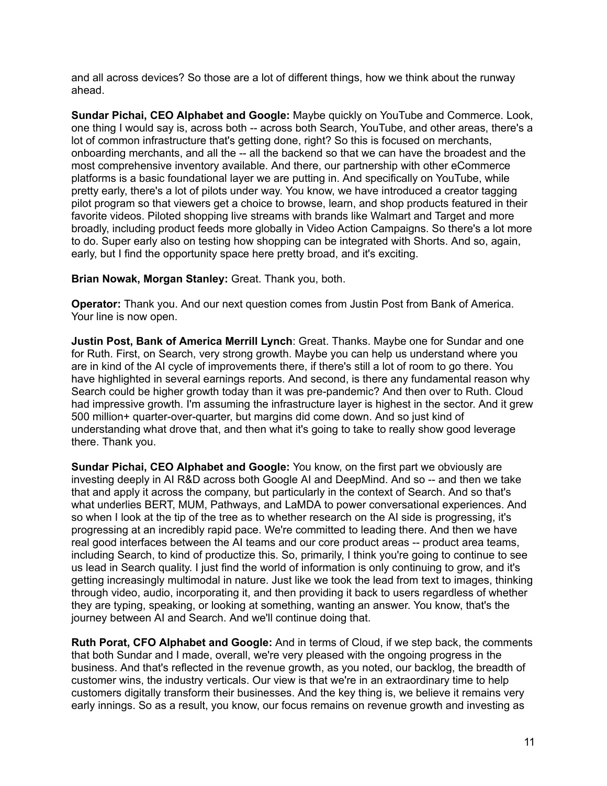and all across devices? So those are a lot of different things, how we think about the runway ahead.

**Sundar Pichai, CEO Alphabet and Google:** Maybe quickly on YouTube and Commerce. Look, one thing I would say is, across both -- across both Search, YouTube, and other areas, there's a lot of common infrastructure that's getting done, right? So this is focused on merchants, onboarding merchants, and all the -- all the backend so that we can have the broadest and the most comprehensive inventory available. And there, our partnership with other eCommerce platforms is a basic foundational layer we are putting in. And specifically on YouTube, while pretty early, there's a lot of pilots under way. You know, we have introduced a creator tagging pilot program so that viewers get a choice to browse, learn, and shop products featured in their favorite videos. Piloted shopping live streams with brands like Walmart and Target and more broadly, including product feeds more globally in Video Action Campaigns. So there's a lot more to do. Super early also on testing how shopping can be integrated with Shorts. And so, again, early, but I find the opportunity space here pretty broad, and it's exciting.

**Brian Nowak, Morgan Stanley:** Great. Thank you, both.

**Operator:** Thank you. And our next question comes from Justin Post from Bank of America. Your line is now open.

**Justin Post, Bank of America Merrill Lynch**: Great. Thanks. Maybe one for Sundar and one for Ruth. First, on Search, very strong growth. Maybe you can help us understand where you are in kind of the AI cycle of improvements there, if there's still a lot of room to go there. You have highlighted in several earnings reports. And second, is there any fundamental reason why Search could be higher growth today than it was pre-pandemic? And then over to Ruth. Cloud had impressive growth. I'm assuming the infrastructure layer is highest in the sector. And it grew 500 million+ quarter-over-quarter, but margins did come down. And so just kind of understanding what drove that, and then what it's going to take to really show good leverage there. Thank you.

**Sundar Pichai, CEO Alphabet and Google:** You know, on the first part we obviously are investing deeply in AI R&D across both Google AI and DeepMind. And so -- and then we take that and apply it across the company, but particularly in the context of Search. And so that's what underlies BERT, MUM, Pathways, and LaMDA to power conversational experiences. And so when I look at the tip of the tree as to whether research on the AI side is progressing, it's progressing at an incredibly rapid pace. We're committed to leading there. And then we have real good interfaces between the AI teams and our core product areas -- product area teams, including Search, to kind of productize this. So, primarily, I think you're going to continue to see us lead in Search quality. I just find the world of information is only continuing to grow, and it's getting increasingly multimodal in nature. Just like we took the lead from text to images, thinking through video, audio, incorporating it, and then providing it back to users regardless of whether they are typing, speaking, or looking at something, wanting an answer. You know, that's the journey between AI and Search. And we'll continue doing that.

**Ruth Porat, CFO Alphabet and Google:** And in terms of Cloud, if we step back, the comments that both Sundar and I made, overall, we're very pleased with the ongoing progress in the business. And that's reflected in the revenue growth, as you noted, our backlog, the breadth of customer wins, the industry verticals. Our view is that we're in an extraordinary time to help customers digitally transform their businesses. And the key thing is, we believe it remains very early innings. So as a result, you know, our focus remains on revenue growth and investing as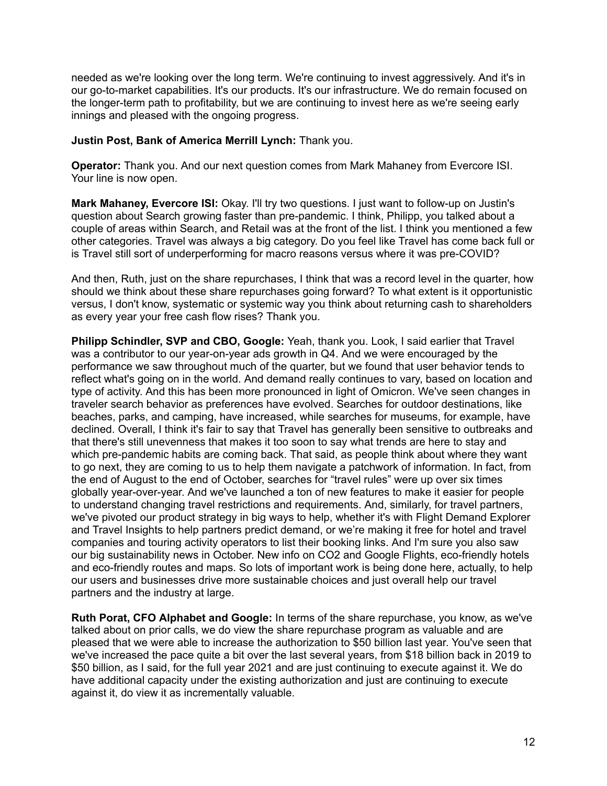needed as we're looking over the long term. We're continuing to invest aggressively. And it's in our go-to-market capabilities. It's our products. It's our infrastructure. We do remain focused on the longer-term path to profitability, but we are continuing to invest here as we're seeing early innings and pleased with the ongoing progress.

# **Justin Post, Bank of America Merrill Lynch:** Thank you.

**Operator:** Thank you. And our next question comes from Mark Mahaney from Evercore ISI. Your line is now open.

**Mark Mahaney, Evercore ISI:** Okay. I'll try two questions. I just want to follow-up on Justin's question about Search growing faster than pre-pandemic. I think, Philipp, you talked about a couple of areas within Search, and Retail was at the front of the list. I think you mentioned a few other categories. Travel was always a big category. Do you feel like Travel has come back full or is Travel still sort of underperforming for macro reasons versus where it was pre-COVID?

And then, Ruth, just on the share repurchases, I think that was a record level in the quarter, how should we think about these share repurchases going forward? To what extent is it opportunistic versus, I don't know, systematic or systemic way you think about returning cash to shareholders as every year your free cash flow rises? Thank you.

**Philipp Schindler, SVP and CBO, Google:** Yeah, thank you. Look, I said earlier that Travel was a contributor to our year-on-year ads growth in Q4. And we were encouraged by the performance we saw throughout much of the quarter, but we found that user behavior tends to reflect what's going on in the world. And demand really continues to vary, based on location and type of activity. And this has been more pronounced in light of Omicron. We've seen changes in traveler search behavior as preferences have evolved. Searches for outdoor destinations, like beaches, parks, and camping, have increased, while searches for museums, for example, have declined. Overall, I think it's fair to say that Travel has generally been sensitive to outbreaks and that there's still unevenness that makes it too soon to say what trends are here to stay and which pre-pandemic habits are coming back. That said, as people think about where they want to go next, they are coming to us to help them navigate a patchwork of information. In fact, from the end of August to the end of October, searches for "travel rules" were up over six times globally year-over-year. And we've launched a ton of new features to make it easier for people to understand changing travel restrictions and requirements. And, similarly, for travel partners, we've pivoted our product strategy in big ways to help, whether it's with Flight Demand Explorer and Travel Insights to help partners predict demand, or we're making it free for hotel and travel companies and touring activity operators to list their booking links. And I'm sure you also saw our big sustainability news in October. New info on CO2 and Google Flights, eco-friendly hotels and eco-friendly routes and maps. So lots of important work is being done here, actually, to help our users and businesses drive more sustainable choices and just overall help our travel partners and the industry at large.

**Ruth Porat, CFO Alphabet and Google:** In terms of the share repurchase, you know, as we've talked about on prior calls, we do view the share repurchase program as valuable and are pleased that we were able to increase the authorization to \$50 billion last year. You've seen that we've increased the pace quite a bit over the last several years, from \$18 billion back in 2019 to \$50 billion, as I said, for the full year 2021 and are just continuing to execute against it. We do have additional capacity under the existing authorization and just are continuing to execute against it, do view it as incrementally valuable.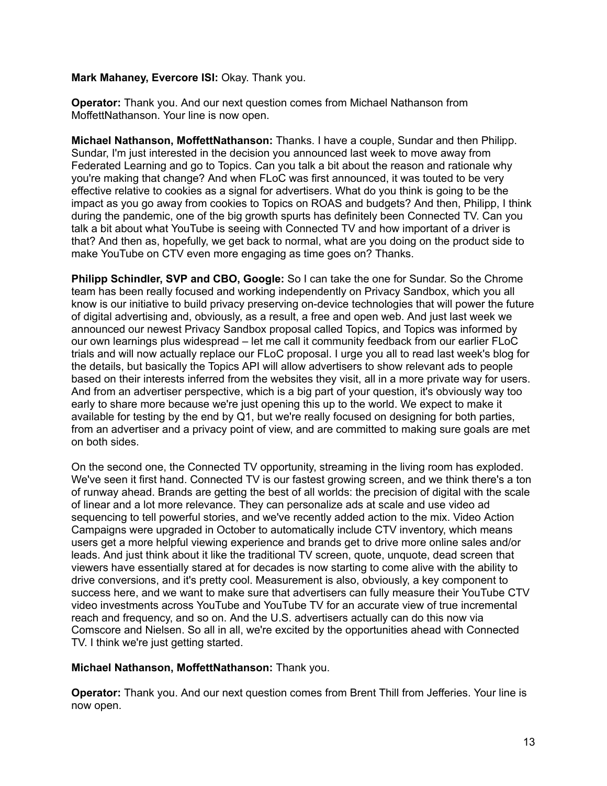# **Mark Mahaney, Evercore ISI:** Okay. Thank you.

**Operator:** Thank you. And our next question comes from Michael Nathanson from MoffettNathanson. Your line is now open.

**Michael Nathanson, MoffettNathanson:** Thanks. I have a couple, Sundar and then Philipp. Sundar, I'm just interested in the decision you announced last week to move away from Federated Learning and go to Topics. Can you talk a bit about the reason and rationale why you're making that change? And when FLoC was first announced, it was touted to be very effective relative to cookies as a signal for advertisers. What do you think is going to be the impact as you go away from cookies to Topics on ROAS and budgets? And then, Philipp, I think during the pandemic, one of the big growth spurts has definitely been Connected TV. Can you talk a bit about what YouTube is seeing with Connected TV and how important of a driver is that? And then as, hopefully, we get back to normal, what are you doing on the product side to make YouTube on CTV even more engaging as time goes on? Thanks.

**Philipp Schindler, SVP and CBO, Google:** So I can take the one for Sundar. So the Chrome team has been really focused and working independently on Privacy Sandbox, which you all know is our initiative to build privacy preserving on-device technologies that will power the future of digital advertising and, obviously, as a result, a free and open web. And just last week we announced our newest Privacy Sandbox proposal called Topics, and Topics was informed by our own learnings plus widespread – let me call it community feedback from our earlier FLoC trials and will now actually replace our FLoC proposal. I urge you all to read last week's blog for the details, but basically the Topics API will allow advertisers to show relevant ads to people based on their interests inferred from the websites they visit, all in a more private way for users. And from an advertiser perspective, which is a big part of your question, it's obviously way too early to share more because we're just opening this up to the world. We expect to make it available for testing by the end by Q1, but we're really focused on designing for both parties, from an advertiser and a privacy point of view, and are committed to making sure goals are met on both sides.

On the second one, the Connected TV opportunity, streaming in the living room has exploded. We've seen it first hand. Connected TV is our fastest growing screen, and we think there's a ton of runway ahead. Brands are getting the best of all worlds: the precision of digital with the scale of linear and a lot more relevance. They can personalize ads at scale and use video ad sequencing to tell powerful stories, and we've recently added action to the mix. Video Action Campaigns were upgraded in October to automatically include CTV inventory, which means users get a more helpful viewing experience and brands get to drive more online sales and/or leads. And just think about it like the traditional TV screen, quote, unquote, dead screen that viewers have essentially stared at for decades is now starting to come alive with the ability to drive conversions, and it's pretty cool. Measurement is also, obviously, a key component to success here, and we want to make sure that advertisers can fully measure their YouTube CTV video investments across YouTube and YouTube TV for an accurate view of true incremental reach and frequency, and so on. And the U.S. advertisers actually can do this now via Comscore and Nielsen. So all in all, we're excited by the opportunities ahead with Connected TV. I think we're just getting started.

**Michael Nathanson, MoffettNathanson:** Thank you.

**Operator:** Thank you. And our next question comes from Brent Thill from Jefferies. Your line is now open.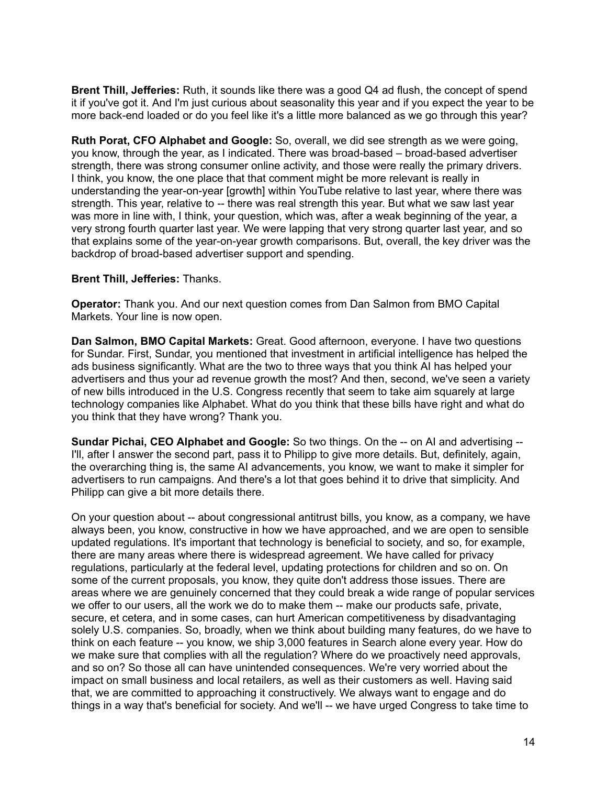**Brent Thill, Jefferies:** Ruth, it sounds like there was a good Q4 ad flush, the concept of spend it if you've got it. And I'm just curious about seasonality this year and if you expect the year to be more back-end loaded or do you feel like it's a little more balanced as we go through this year?

**Ruth Porat, CFO Alphabet and Google:** So, overall, we did see strength as we were going, you know, through the year, as I indicated. There was broad-based – broad-based advertiser strength, there was strong consumer online activity, and those were really the primary drivers. I think, you know, the one place that that comment might be more relevant is really in understanding the year-on-year [growth] within YouTube relative to last year, where there was strength. This year, relative to -- there was real strength this year. But what we saw last year was more in line with, I think, your question, which was, after a weak beginning of the year, a very strong fourth quarter last year. We were lapping that very strong quarter last year, and so that explains some of the year-on-year growth comparisons. But, overall, the key driver was the backdrop of broad-based advertiser support and spending.

# **Brent Thill, Jefferies:** Thanks.

**Operator:** Thank you. And our next question comes from Dan Salmon from BMO Capital Markets. Your line is now open.

**Dan Salmon, BMO Capital Markets:** Great. Good afternoon, everyone. I have two questions for Sundar. First, Sundar, you mentioned that investment in artificial intelligence has helped the ads business significantly. What are the two to three ways that you think AI has helped your advertisers and thus your ad revenue growth the most? And then, second, we've seen a variety of new bills introduced in the U.S. Congress recently that seem to take aim squarely at large technology companies like Alphabet. What do you think that these bills have right and what do you think that they have wrong? Thank you.

**Sundar Pichai, CEO Alphabet and Google:** So two things. On the -- on AI and advertising -- I'll, after I answer the second part, pass it to Philipp to give more details. But, definitely, again, the overarching thing is, the same AI advancements, you know, we want to make it simpler for advertisers to run campaigns. And there's a lot that goes behind it to drive that simplicity. And Philipp can give a bit more details there.

On your question about -- about congressional antitrust bills, you know, as a company, we have always been, you know, constructive in how we have approached, and we are open to sensible updated regulations. It's important that technology is beneficial to society, and so, for example, there are many areas where there is widespread agreement. We have called for privacy regulations, particularly at the federal level, updating protections for children and so on. On some of the current proposals, you know, they quite don't address those issues. There are areas where we are genuinely concerned that they could break a wide range of popular services we offer to our users, all the work we do to make them -- make our products safe, private, secure, et cetera, and in some cases, can hurt American competitiveness by disadvantaging solely U.S. companies. So, broadly, when we think about building many features, do we have to think on each feature -- you know, we ship 3,000 features in Search alone every year. How do we make sure that complies with all the regulation? Where do we proactively need approvals, and so on? So those all can have unintended consequences. We're very worried about the impact on small business and local retailers, as well as their customers as well. Having said that, we are committed to approaching it constructively. We always want to engage and do things in a way that's beneficial for society. And we'll -- we have urged Congress to take time to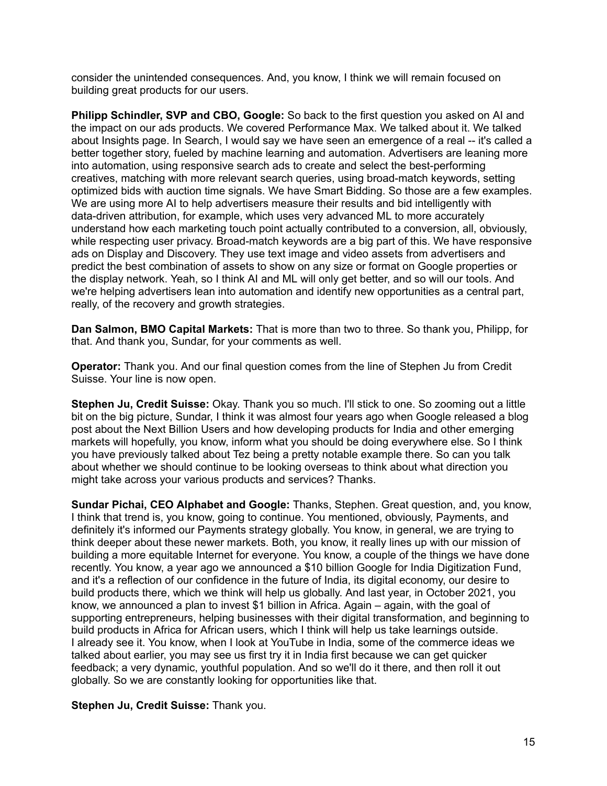consider the unintended consequences. And, you know, I think we will remain focused on building great products for our users.

**Philipp Schindler, SVP and CBO, Google:** So back to the first question you asked on AI and the impact on our ads products. We covered Performance Max. We talked about it. We talked about Insights page. In Search, I would say we have seen an emergence of a real -- it's called a better together story, fueled by machine learning and automation. Advertisers are leaning more into automation, using responsive search ads to create and select the best-performing creatives, matching with more relevant search queries, using broad-match keywords, setting optimized bids with auction time signals. We have Smart Bidding. So those are a few examples. We are using more AI to help advertisers measure their results and bid intelligently with data-driven attribution, for example, which uses very advanced ML to more accurately understand how each marketing touch point actually contributed to a conversion, all, obviously, while respecting user privacy. Broad-match keywords are a big part of this. We have responsive ads on Display and Discovery. They use text image and video assets from advertisers and predict the best combination of assets to show on any size or format on Google properties or the display network. Yeah, so I think AI and ML will only get better, and so will our tools. And we're helping advertisers lean into automation and identify new opportunities as a central part, really, of the recovery and growth strategies.

**Dan Salmon, BMO Capital Markets:** That is more than two to three. So thank you, Philipp, for that. And thank you, Sundar, for your comments as well.

**Operator:** Thank you. And our final question comes from the line of Stephen Ju from Credit Suisse. Your line is now open.

**Stephen Ju, Credit Suisse:** Okay. Thank you so much. I'll stick to one. So zooming out a little bit on the big picture, Sundar, I think it was almost four years ago when Google released a blog post about the Next Billion Users and how developing products for India and other emerging markets will hopefully, you know, inform what you should be doing everywhere else. So I think you have previously talked about Tez being a pretty notable example there. So can you talk about whether we should continue to be looking overseas to think about what direction you might take across your various products and services? Thanks.

**Sundar Pichai, CEO Alphabet and Google:** Thanks, Stephen. Great question, and, you know, I think that trend is, you know, going to continue. You mentioned, obviously, Payments, and definitely it's informed our Payments strategy globally. You know, in general, we are trying to think deeper about these newer markets. Both, you know, it really lines up with our mission of building a more equitable Internet for everyone. You know, a couple of the things we have done recently. You know, a year ago we announced a \$10 billion Google for India Digitization Fund, and it's a reflection of our confidence in the future of India, its digital economy, our desire to build products there, which we think will help us globally. And last year, in October 2021, you know, we announced a plan to invest \$1 billion in Africa. Again – again, with the goal of supporting entrepreneurs, helping businesses with their digital transformation, and beginning to build products in Africa for African users, which I think will help us take learnings outside. I already see it. You know, when I look at YouTube in India, some of the commerce ideas we talked about earlier, you may see us first try it in India first because we can get quicker feedback; a very dynamic, youthful population. And so we'll do it there, and then roll it out globally. So we are constantly looking for opportunities like that.

### **Stephen Ju, Credit Suisse:** Thank you.